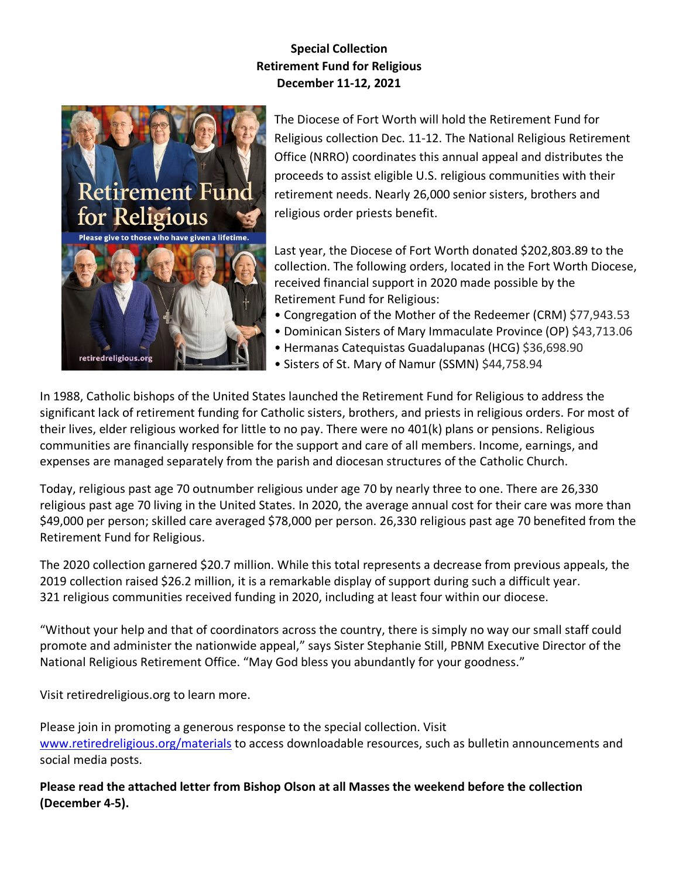# **Special Collection Retirement Fund for Religious December 11-12, 2021**



The Diocese of Fort Worth will hold the Retirement Fund for Religious collection Dec. 11-12. The National Religious Retirement Office (NRRO) coordinates this annual appeal and distributes the proceeds to assist eligible U.S. religious communities with their retirement needs. Nearly 26,000 senior sisters, brothers and religious order priests benefit.

Last year, the Diocese of Fort Worth donated \$202,803.89 to the collection. The following orders, located in the Fort Worth Diocese, received financial support in 2020 made possible by the Retirement Fund for Religious:

- Congregation of the Mother of the Redeemer (CRM) \$77,943.53
- Dominican Sisters of Mary Immaculate Province (OP) \$43,713.06
- Hermanas Catequistas Guadalupanas (HCG) \$36,698.90
- Sisters of St. Mary of Namur (SSMN) \$44,758.94

In 1988, Catholic bishops of the United States launched the Retirement Fund for Religious to address the significant lack of retirement funding for Catholic sisters, brothers, and priests in religious orders. For most of their lives, elder religious worked for little to no pay. There were no 401(k) plans or pensions. Religious communities are financially responsible for the support and care of all members. Income, earnings, and expenses are managed separately from the parish and diocesan structures of the Catholic Church.

Today, religious past age 70 outnumber religious under age 70 by nearly three to one. There are 26,330 religious past age 70 living in the United States. In 2020, the average annual cost for their care was more than \$49,000 per person; skilled care averaged \$78,000 per person. 26,330 religious past age 70 benefited from the Retirement Fund for Religious.

The 2020 collection garnered \$20.7 million. While this total represents a decrease from previous appeals, the 2019 collection raised \$26.2 million, it is a remarkable display of support during such a difficult year. 321 religious communities received funding in 2020, including at least four within our diocese.

"Without your help and that of coordinators across the country, there is simply no way our small staff could promote and administer the nationwide appeal," says Sister Stephanie Still, PBNM Executive Director of the National Religious Retirement Office. "May God bless you abundantly for your goodness."

Visit retiredreligious.org to learn more.

Please join in promoting a generous response to the special collection. Visit [www.retiredreligious.org/materials](http://www.retiredreligious.org/materials) to access downloadable resources, such as bulletin announcements and social media posts.

**Please read the attached letter from Bishop Olson at all Masses the weekend before the collection (December 4-5).**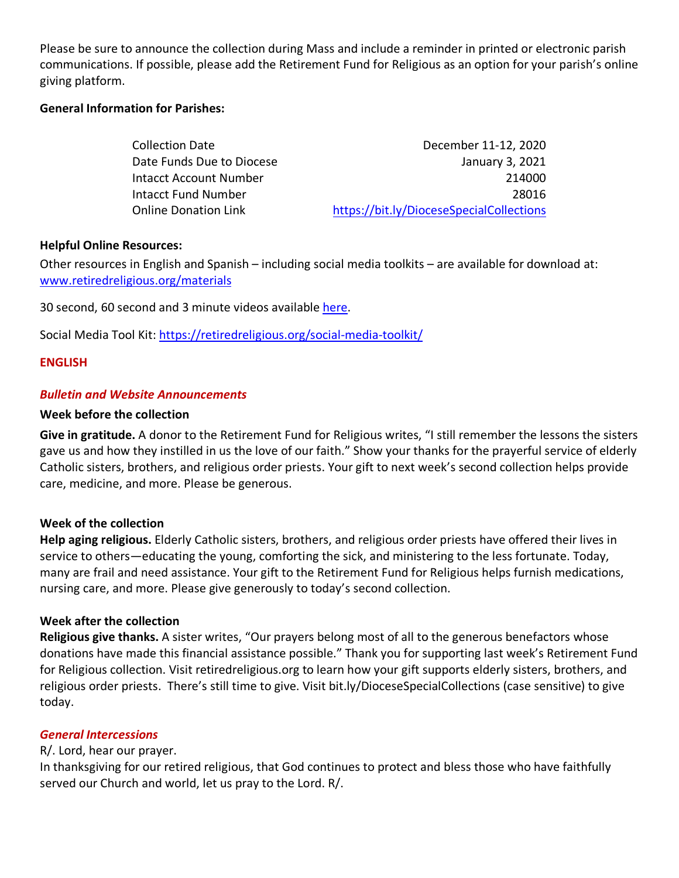Please be sure to announce the collection during Mass and include a reminder in printed or electronic parish communications. If possible, please add the Retirement Fund for Religious as an option for your parish's online giving platform.

#### **General Information for Parishes:**

| <b>Collection Date</b>        | December 11-12, 2020                     |
|-------------------------------|------------------------------------------|
| Date Funds Due to Diocese     | January 3, 2021                          |
| <b>Intacct Account Number</b> | 214000                                   |
| Intacct Fund Number           | 28016                                    |
| <b>Online Donation Link</b>   | https://bit.ly/DioceseSpecialCollections |

#### **Helpful Online Resources:**

Other resources in English and Spanish – including social media toolkits – are available for download at: [www.retiredreligious.org/materials](http://www.retiredreligious.org/materials)

30 second, 60 second and 3 minute videos available [here.](https://r20.rs6.net/tn.jsp?f=001mRvqOtWmIccLJJeGIQHjYYDWeJqEJ2YpHy8JlTXWjtmBg3axpDhNygHf7ZaGbRQ0mg0V4i6k5r03dbw_ZV3YJRjwRDsR2FpPdTfZf_Y_RS79Rk6mU8qH90QTVJw-s7eBz63p5zVtSGDxJ9VisDiChbMgqG9jvyQYQpa9XYZWredqN1Ve4C_3nsCfgy5dgVVR&c=mN_GAgOYlhlE6uRTajfKb32NBGteaaYVuYk7GfYJVeJSs33Krd9Pug==&ch=kPJRElIqz--fYv3iFRqdPocST-FR1Xln4tEfMU40ZmclzR60qxfxvw==)

Social Media Tool Kit:<https://retiredreligious.org/social-media-toolkit/>

#### **ENGLISH**

#### *Bulletin and Website Announcements*

#### **Week before the collection**

**Give in gratitude.** A donor to the Retirement Fund for Religious writes, "I still remember the lessons the sisters gave us and how they instilled in us the love of our faith." Show your thanks for the prayerful service of elderly Catholic sisters, brothers, and religious order priests. Your gift to next week's second collection helps provide care, medicine, and more. Please be generous.

### **Week of the collection**

**Help aging religious.** Elderly Catholic sisters, brothers, and religious order priests have offered their lives in service to others—educating the young, comforting the sick, and ministering to the less fortunate. Today, many are frail and need assistance. Your gift to the Retirement Fund for Religious helps furnish medications, nursing care, and more. Please give generously to today's second collection.

### **Week after the collection**

**Religious give thanks.** A sister writes, "Our prayers belong most of all to the generous benefactors whose donations have made this financial assistance possible." Thank you for supporting last week's Retirement Fund for Religious collection. Visit retiredreligious.org to learn how your gift supports elderly sisters, brothers, and religious order priests. There's still time to give. Visit bit.ly/DioceseSpecialCollections (case sensitive) to give today.

### *General Intercessions*

### R/. Lord, hear our prayer.

In thanksgiving for our retired religious, that God continues to protect and bless those who have faithfully served our Church and world, let us pray to the Lord. R/.